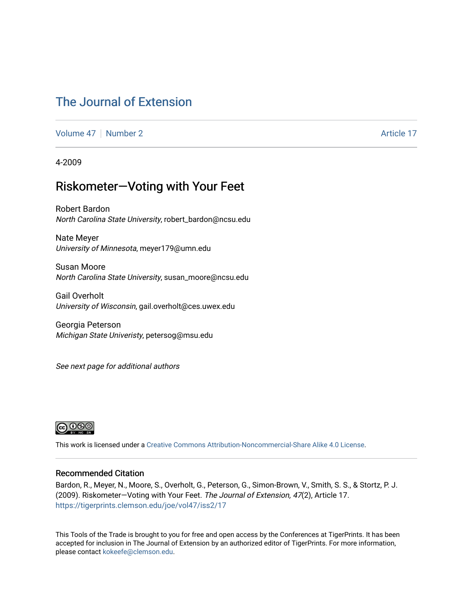## [The Journal of Extension](https://tigerprints.clemson.edu/joe)

[Volume 47](https://tigerprints.clemson.edu/joe/vol47) | [Number 2](https://tigerprints.clemson.edu/joe/vol47/iss2) Article 17

4-2009

### Riskometer—Voting with Your Feet

Robert Bardon North Carolina State University, robert\_bardon@ncsu.edu

Nate Meyer University of Minnesota, meyer179@umn.edu

Susan Moore North Carolina State University, susan\_moore@ncsu.edu

Gail Overholt University of Wisconsin, gail.overholt@ces.uwex.edu

Georgia Peterson Michigan State Univeristy, petersog@msu.edu

See next page for additional authors



This work is licensed under a [Creative Commons Attribution-Noncommercial-Share Alike 4.0 License.](https://creativecommons.org/licenses/by-nc-sa/4.0/)

#### Recommended Citation

Bardon, R., Meyer, N., Moore, S., Overholt, G., Peterson, G., Simon-Brown, V., Smith, S. S., & Stortz, P. J. (2009). Riskometer—Voting with Your Feet. The Journal of Extension, 47(2), Article 17. <https://tigerprints.clemson.edu/joe/vol47/iss2/17>

This Tools of the Trade is brought to you for free and open access by the Conferences at TigerPrints. It has been accepted for inclusion in The Journal of Extension by an authorized editor of TigerPrints. For more information, please contact [kokeefe@clemson.edu](mailto:kokeefe@clemson.edu).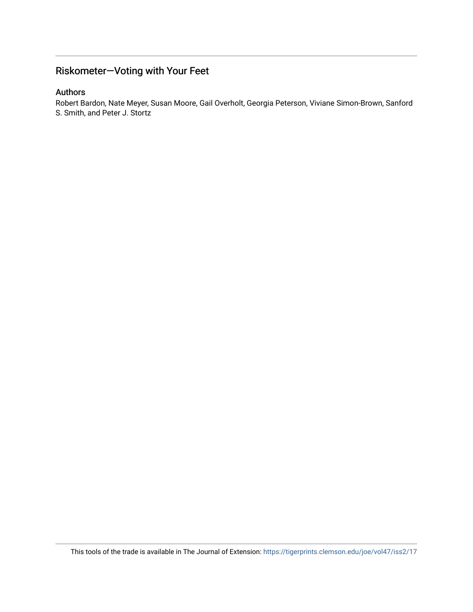### Riskometer—Voting with Your Feet

#### Authors

Robert Bardon, Nate Meyer, Susan Moore, Gail Overholt, Georgia Peterson, Viviane Simon-Brown, Sanford S. Smith, and Peter J. Stortz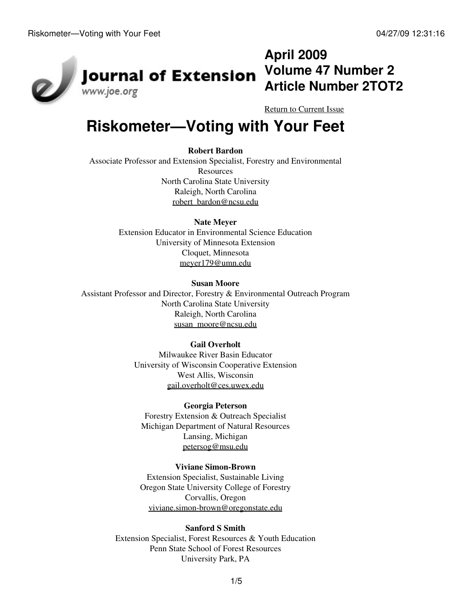

# **April 2009 Volume 47 Number 2 Article Number 2TOT2**

[Return to Current Issue](http://www.joe.org:80/joe/2009april/)

# **Riskometer—Voting with Your Feet**

#### **Robert Bardon**

Associate Professor and Extension Specialist, Forestry and Environmental **Resources** North Carolina State University Raleigh, North Carolina [robert\\_bardon@ncsu.edu](mailto:robert_bardon@ncsu.edu)

#### **Nate Meyer**

Extension Educator in Environmental Science Education University of Minnesota Extension Cloquet, Minnesota [meyer179@umn.edu](mailto:meyer179@umn.edu)

#### **Susan Moore**

Assistant Professor and Director, Forestry & Environmental Outreach Program North Carolina State University Raleigh, North Carolina [susan\\_moore@ncsu.edu](mailto:susan_moore@ncsu.edu)

#### **Gail Overholt**

Milwaukee River Basin Educator University of Wisconsin Cooperative Extension West Allis, Wisconsin [gail.overholt@ces.uwex.edu](mailto:gail.overholt@ces.uwex.edu)

#### **Georgia Peterson**

Forestry Extension & Outreach Specialist Michigan Department of Natural Resources Lansing, Michigan [petersog@msu.edu](mailto:petersog@msu.edu)

#### **Viviane Simon-Brown**

Extension Specialist, Sustainable Living Oregon State University College of Forestry Corvallis, Oregon [viviane.simon-brown@oregonstate.edu](mailto:viviane.simon-brown@oregonstate.edu)

#### **Sanford S Smith**

Extension Specialist, Forest Resources & Youth Education Penn State School of Forest Resources University Park, PA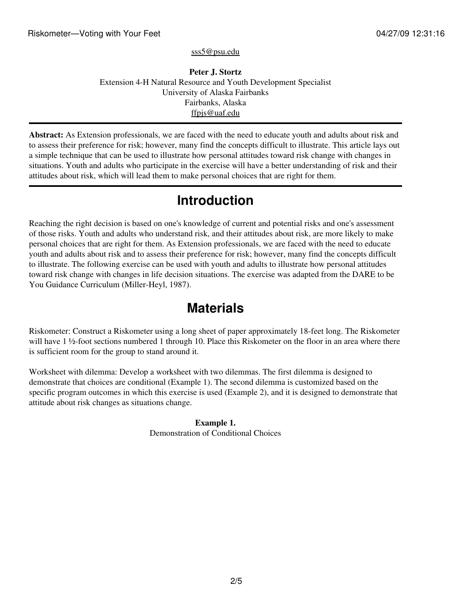[sss5@psu.edu](mailto:sss5@psu.edu)

**Peter J. Stortz** Extension 4-H Natural Resource and Youth Development Specialist University of Alaska Fairbanks Fairbanks, Alaska [ffpjs@uaf.edu](mailto:ffpjs@uaf.edu)

**Abstract:** As Extension professionals, we are faced with the need to educate youth and adults about risk and to assess their preference for risk; however, many find the concepts difficult to illustrate. This article lays out a simple technique that can be used to illustrate how personal attitudes toward risk change with changes in situations. Youth and adults who participate in the exercise will have a better understanding of risk and their attitudes about risk, which will lead them to make personal choices that are right for them.

# **Introduction**

Reaching the right decision is based on one's knowledge of current and potential risks and one's assessment of those risks. Youth and adults who understand risk, and their attitudes about risk, are more likely to make personal choices that are right for them. As Extension professionals, we are faced with the need to educate youth and adults about risk and to assess their preference for risk; however, many find the concepts difficult to illustrate. The following exercise can be used with youth and adults to illustrate how personal attitudes toward risk change with changes in life decision situations. The exercise was adapted from the DARE to be You Guidance Curriculum (Miller-Heyl, 1987).

## **Materials**

Riskometer: Construct a Riskometer using a long sheet of paper approximately 18-feet long. The Riskometer will have 1 ½-foot sections numbered 1 through 10. Place this Riskometer on the floor in an area where there is sufficient room for the group to stand around it.

Worksheet with dilemma: Develop a worksheet with two dilemmas. The first dilemma is designed to demonstrate that choices are conditional (Example 1). The second dilemma is customized based on the specific program outcomes in which this exercise is used (Example 2), and it is designed to demonstrate that attitude about risk changes as situations change.

> **Example 1.** Demonstration of Conditional Choices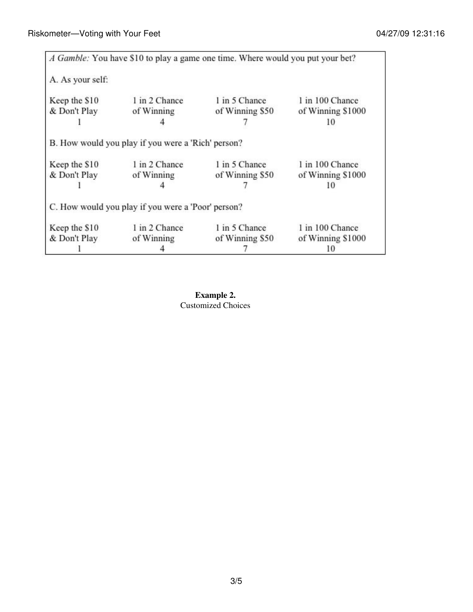|                               |                                                                                   | A Gamble: You have \$10 to play a game one time. Where would you put your bet? |                                      |
|-------------------------------|-----------------------------------------------------------------------------------|--------------------------------------------------------------------------------|--------------------------------------|
| A. As your self:              |                                                                                   |                                                                                |                                      |
| Keep the \$10                 | 1 in 2 Chance                                                                     | 1 in 5 Chance                                                                  | 1 in 100 Chance                      |
| & Don't Play                  | of Winning                                                                        | of Winning \$50                                                                | of Winning \$1000                    |
|                               |                                                                                   |                                                                                | 10                                   |
| Keep the \$10                 | B. How would you play if you were a 'Rich' person?<br>1 in 2 Chance               | 1 in 5 Chance                                                                  | 1 in 100 Chance                      |
| & Don't Play                  |                                                                                   | of Winning \$50                                                                | of Winning \$1000                    |
|                               | of Winning                                                                        |                                                                                | 10                                   |
| Keep the \$10<br>& Don't Play | C. How would you play if you were a 'Poor' person?<br>1 in 2 Chance<br>of Winning | 1 in 5 Chance<br>of Winning \$50                                               | 1 in 100 Chance<br>of Winning \$1000 |
|                               |                                                                                   |                                                                                |                                      |

**Example 2.** Customized Choices

3/5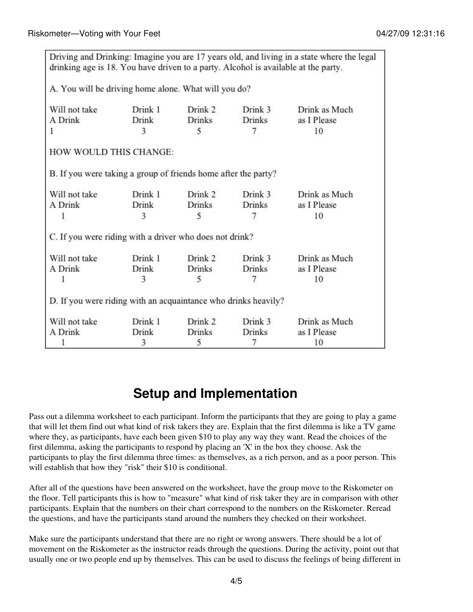| drinking age is 18. You have driven to a party. Alcohol is available at the party. |                         |                          |                          | Driving and Drinking: Imagine you are 17 years old, and living in a state where the legal |  |  |  |  |
|------------------------------------------------------------------------------------|-------------------------|--------------------------|--------------------------|-------------------------------------------------------------------------------------------|--|--|--|--|
| A. You will be driving home alone. What will you do?                               |                         |                          |                          |                                                                                           |  |  |  |  |
| Will not take<br>A Drink                                                           | Drink 1<br><b>Drink</b> | Drink 2<br><b>Drinks</b> | Drink 3<br><b>Drinks</b> | Drink as Much                                                                             |  |  |  |  |
| ı                                                                                  | 3                       | 5                        | 7                        | as I Please<br>10                                                                         |  |  |  |  |
| HOW WOULD THIS CHANGE:                                                             |                         |                          |                          |                                                                                           |  |  |  |  |
| B. If you were taking a group of friends home after the party?                     |                         |                          |                          |                                                                                           |  |  |  |  |
| Will not take                                                                      | Drink 1                 | Drink 2                  | Drink 3                  | Drink as Much                                                                             |  |  |  |  |
| A Drink                                                                            | Drink                   | <b>Drinks</b>            | <b>Drinks</b>            | as I Please                                                                               |  |  |  |  |
| 1                                                                                  | 3                       | 5                        | 7                        | 10                                                                                        |  |  |  |  |
| C. If you were riding with a driver who does not drink?                            |                         |                          |                          |                                                                                           |  |  |  |  |
| Will not take                                                                      | Drink 1                 | Drink 2                  | Drink 3                  | Drink as Much                                                                             |  |  |  |  |
| A Drink                                                                            | Drink                   | <b>Drinks</b>            | <b>Drinks</b>            | as I Please                                                                               |  |  |  |  |
| ı                                                                                  | 3                       | 5                        | 7                        | 10                                                                                        |  |  |  |  |
| D. If you were riding with an acquaintance who drinks heavily?                     |                         |                          |                          |                                                                                           |  |  |  |  |
| Will not take                                                                      | Drink 1                 | Drink 2                  | Drink 3                  | Drink as Much                                                                             |  |  |  |  |
| A Drink                                                                            | Drink                   | <b>Drinks</b>            | <b>Drinks</b>            | as I Please                                                                               |  |  |  |  |
|                                                                                    | 3                       | 5                        | 7                        | 10                                                                                        |  |  |  |  |

## **Setup and Implementation**

Pass out a dilemma worksheet to each participant. Inform the participants that they are going to play a game that will let them find out what kind of risk takers they are. Explain that the first dilemma is like a TV game where they, as participants, have each been given \$10 to play any way they want. Read the choices of the first dilemma, asking the participants to respond by placing an 'X' in the box they choose. Ask the participants to play the first dilemma three times: as themselves, as a rich person, and as a poor person. This will establish that how they "risk" their \$10 is conditional.

After all of the questions have been answered on the worksheet, have the group move to the Riskometer on the floor. Tell participants this is how to "measure" what kind of risk taker they are in comparison with other participants. Explain that the numbers on their chart correspond to the numbers on the Riskometer. Reread the questions, and have the participants stand around the numbers they checked on their worksheet.

Make sure the participants understand that there are no right or wrong answers. There should be a lot of movement on the Riskometer as the instructor reads through the questions. During the activity, point out that usually one or two people end up by themselves. This can be used to discuss the feelings of being different in